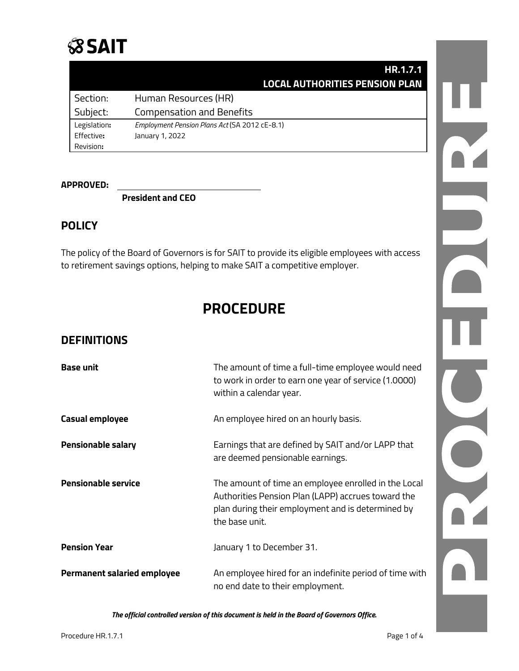## **SSAIT**

|                 |                                                                                                                                                                           | HR.1.7.1 |  |
|-----------------|---------------------------------------------------------------------------------------------------------------------------------------------------------------------------|----------|--|
|                 | <b>LOCAL AUTHORITIES PENSION PLAN</b>                                                                                                                                     |          |  |
| Section:        | Human Resources (HR)                                                                                                                                                      |          |  |
| Subject:        | <b>Compensation and Benefits</b>                                                                                                                                          |          |  |
| Legislation:    | Employment Pension Plans Act (SA 2012 cE-8.1)                                                                                                                             |          |  |
| Effective:      | January 1, 2022                                                                                                                                                           |          |  |
| Revision:       |                                                                                                                                                                           |          |  |
| <b>PPROVED:</b> | <b>President and CEO</b>                                                                                                                                                  |          |  |
| OLICY           |                                                                                                                                                                           |          |  |
|                 | ie policy of the Board of Governors is for SAIT to provide its eligible employees with access<br>retirement savings options, helping to make SAIT a competitive employer. |          |  |
|                 | <b>PROCEDURE</b>                                                                                                                                                          |          |  |
|                 |                                                                                                                                                                           |          |  |

**APPROVED:**

#### **POLICY**

## **PROCEDURE**

#### **DEFINITIONS**

| <b>Base unit</b>                   | The amount of time a full-time employee would need<br>to work in order to earn one year of service (1.0000)<br>within a calendar year.                                            |  |
|------------------------------------|-----------------------------------------------------------------------------------------------------------------------------------------------------------------------------------|--|
| <b>Casual employee</b>             | An employee hired on an hourly basis.                                                                                                                                             |  |
| <b>Pensionable salary</b>          | Earnings that are defined by SAIT and/or LAPP that<br>are deemed pensionable earnings.                                                                                            |  |
| <b>Pensionable service</b>         | The amount of time an employee enrolled in the Local<br>Authorities Pension Plan (LAPP) accrues toward the<br>plan during their employment and is determined by<br>the base unit. |  |
| <b>Pension Year</b>                | January 1 to December 31.                                                                                                                                                         |  |
| <b>Permanent salaried employee</b> | An employee hired for an indefinite period of time with<br>no end date to their employment.                                                                                       |  |

*The official controlled version of this document is held in the Board of Governors Office.*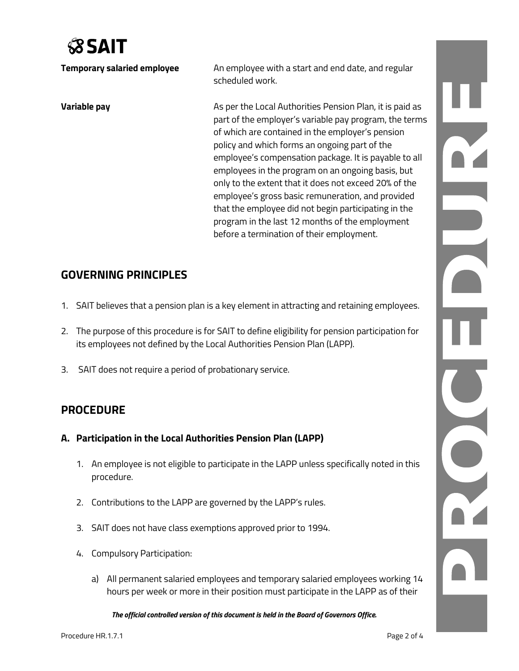# **SSAIT**

| <b>Temporary salaried employee</b> | An employee with a start and end date, and regular<br>scheduled work.                                                                                                                                                                                                                                                                                                                                                                                                                                                                                                                                       |
|------------------------------------|-------------------------------------------------------------------------------------------------------------------------------------------------------------------------------------------------------------------------------------------------------------------------------------------------------------------------------------------------------------------------------------------------------------------------------------------------------------------------------------------------------------------------------------------------------------------------------------------------------------|
| Variable pay                       | As per the Local Authorities Pension Plan, it is paid as<br>part of the employer's variable pay program, the terms<br>of which are contained in the employer's pension<br>policy and which forms an ongoing part of the<br>employee's compensation package. It is payable to all<br>employees in the program on an ongoing basis, but<br>only to the extent that it does not exceed 20% of the<br>employee's gross basic remuneration, and provided<br>that the employee did not begin participating in the<br>program in the last 12 months of the employment<br>before a termination of their employment. |

### **GOVERNING PRINCIPLES**

- 1. SAIT believes that a pension plan is a key element in attracting and retaining employees.
- 2. The purpose of this procedure is for SAIT to define eligibility for pension participation for its employees not defined by the Local Authorities Pension Plan (LAPP).
- 3. SAIT does not require a period of probationary service.

### **PROCEDURE**

- **A. Participation in the Local Authorities Pension Plan (LAPP)**
	- 1. An employee is not eligible to participate in the LAPP unless specifically noted in this procedure.
	- 2. Contributions to the LAPP are governed by the LAPP's rules.
	- 3. SAIT does not have class exemptions approved prior to 1994.
	- 4. Compulsory Participation:
		- a) All permanent salaried employees and temporary salaried employees working 14 hours per week or more in their position must participate in the LAPP as of their

*The official controlled version of this document is held in the Board of Governors Office.*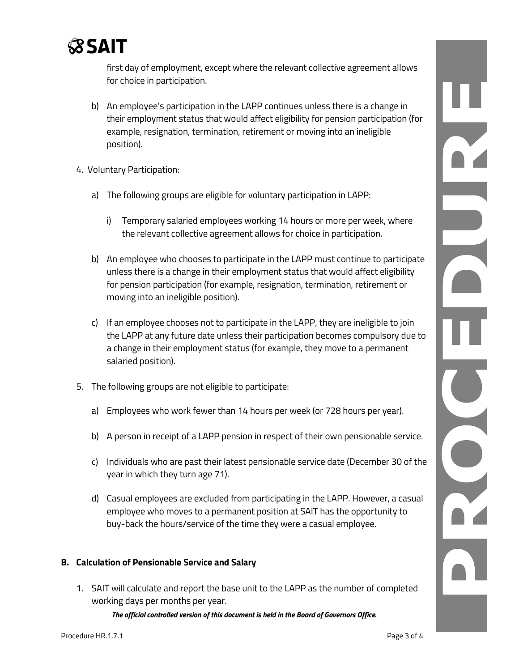

first day of employment, except where the relevant collective agreement allows for choice in participation.

- b) An employee's participation in the LAPP continues unless there is a change in their employment status that would affect eligibility for pension participation (for example, resignation, termination, retirement or moving into an ineligible position).
- 4. Voluntary Participation:
	- a) The following groups are eligible for voluntary participation in LAPP:
		- i) Temporary salaried employees working 14 hours or more per week, where the relevant collective agreement allows for choice in participation.
	- b) An employee who chooses to participate in the LAPP must continue to participate unless there is a change in their employment status that would affect eligibility for pension participation (for example, resignation, termination, retirement or moving into an ineligible position).
	- c) If an employee chooses not to participate in the LAPP, they are ineligible to join the LAPP at any future date unless their participation becomes compulsory due to a change in their employment status (for example, they move to a permanent salaried position).
- 5. The following groups are not eligible to participate:
	- a) Employees who work fewer than 14 hours per week (or 728 hours per year).
	- b) A person in receipt of a LAPP pension in respect of their own pensionable service.
	- c) Individuals who are past their latest pensionable service date (December 30 of the year in which they turn age 71).
	- d) Casual employees are excluded from participating in the LAPP. However, a casual employee who moves to a permanent position at SAIT has the opportunity to buy-back the hours/service of the time they were a casual employee.

#### **B. Calculation of Pensionable Service and Salary**

1. SAIT will calculate and report the base unit to the LAPP as the number of completed working days per months per year.

*The official controlled version of this document is held in the Board of Governors Office.*

PHENICIA

DICITED